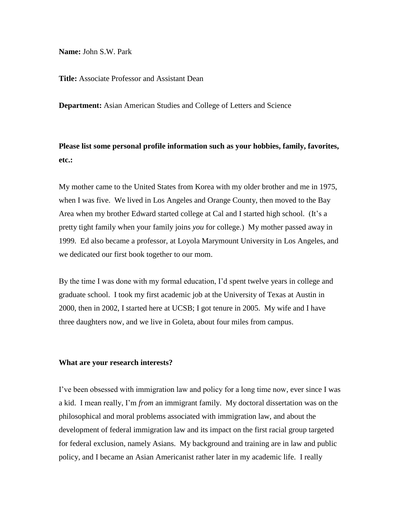**Name:** John S.W. Park

**Title:** Associate Professor and Assistant Dean

**Department:** Asian American Studies and College of Letters and Science

**Please list some personal profile information such as your hobbies, family, favorites, etc.:**

My mother came to the United States from Korea with my older brother and me in 1975, when I was five. We lived in Los Angeles and Orange County, then moved to the Bay Area when my brother Edward started college at Cal and I started high school. (It's a pretty tight family when your family joins *you* for college.) My mother passed away in 1999. Ed also became a professor, at Loyola Marymount University in Los Angeles, and we dedicated our first book together to our mom.

By the time I was done with my formal education, I'd spent twelve years in college and graduate school. I took my first academic job at the University of Texas at Austin in 2000, then in 2002, I started here at UCSB; I got tenure in 2005. My wife and I have three daughters now, and we live in Goleta, about four miles from campus.

### **What are your research interests?**

I've been obsessed with immigration law and policy for a long time now, ever since I was a kid. I mean really, I'm *from* an immigrant family. My doctoral dissertation was on the philosophical and moral problems associated with immigration law, and about the development of federal immigration law and its impact on the first racial group targeted for federal exclusion, namely Asians. My background and training are in law and public policy, and I became an Asian Americanist rather later in my academic life. I really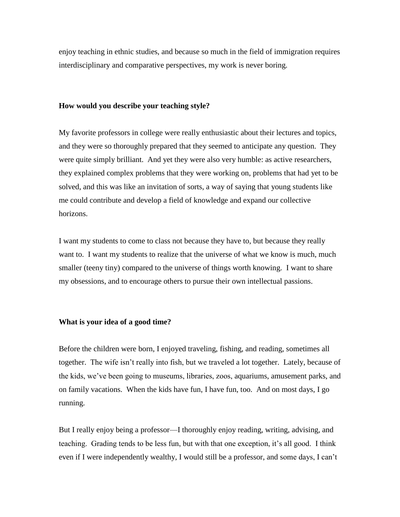enjoy teaching in ethnic studies, and because so much in the field of immigration requires interdisciplinary and comparative perspectives, my work is never boring.

## **How would you describe your teaching style?**

My favorite professors in college were really enthusiastic about their lectures and topics, and they were so thoroughly prepared that they seemed to anticipate any question. They were quite simply brilliant. And yet they were also very humble: as active researchers, they explained complex problems that they were working on, problems that had yet to be solved, and this was like an invitation of sorts, a way of saying that young students like me could contribute and develop a field of knowledge and expand our collective horizons.

I want my students to come to class not because they have to, but because they really want to. I want my students to realize that the universe of what we know is much, much smaller (teeny tiny) compared to the universe of things worth knowing. I want to share my obsessions, and to encourage others to pursue their own intellectual passions.

### **What is your idea of a good time?**

Before the children were born, I enjoyed traveling, fishing, and reading, sometimes all together. The wife isn't really into fish, but we traveled a lot together. Lately, because of the kids, we've been going to museums, libraries, zoos, aquariums, amusement parks, and on family vacations. When the kids have fun, I have fun, too. And on most days, I go running.

But I really enjoy being a professor—I thoroughly enjoy reading, writing, advising, and teaching. Grading tends to be less fun, but with that one exception, it's all good. I think even if I were independently wealthy, I would still be a professor, and some days, I can't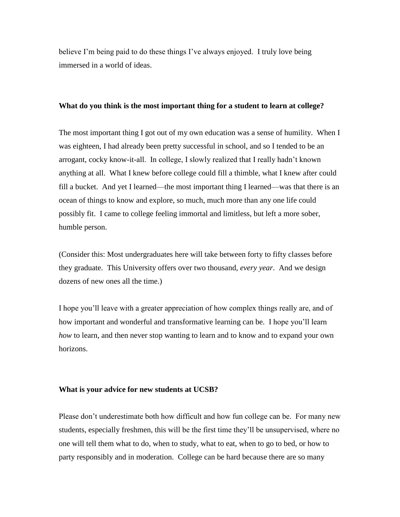believe I'm being paid to do these things I've always enjoyed. I truly love being immersed in a world of ideas.

### **What do you think is the most important thing for a student to learn at college?**

The most important thing I got out of my own education was a sense of humility. When I was eighteen, I had already been pretty successful in school, and so I tended to be an arrogant, cocky know-it-all. In college, I slowly realized that I really hadn't known anything at all. What I knew before college could fill a thimble, what I knew after could fill a bucket. And yet I learned—the most important thing I learned—was that there is an ocean of things to know and explore, so much, much more than any one life could possibly fit. I came to college feeling immortal and limitless, but left a more sober, humble person.

(Consider this: Most undergraduates here will take between forty to fifty classes before they graduate. This University offers over two thousand, *every year*. And we design dozens of new ones all the time.)

I hope you'll leave with a greater appreciation of how complex things really are, and of how important and wonderful and transformative learning can be. I hope you'll learn *how* to learn, and then never stop wanting to learn and to know and to expand your own horizons.

# **What is your advice for new students at UCSB?**

Please don't underestimate both how difficult and how fun college can be. For many new students, especially freshmen, this will be the first time they'll be unsupervised, where no one will tell them what to do, when to study, what to eat, when to go to bed, or how to party responsibly and in moderation. College can be hard because there are so many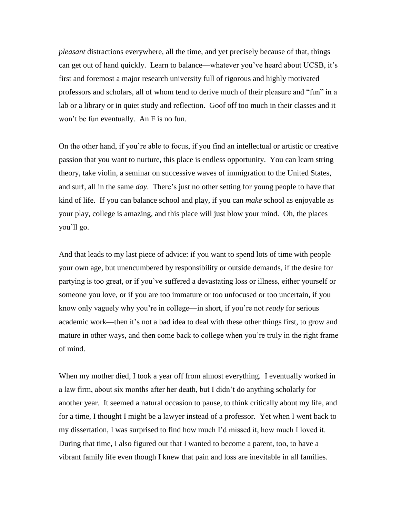*pleasant* distractions everywhere, all the time, and yet precisely because of that, things can get out of hand quickly. Learn to balance—whatever you've heard about UCSB, it's first and foremost a major research university full of rigorous and highly motivated professors and scholars, all of whom tend to derive much of their pleasure and "fun" in a lab or a library or in quiet study and reflection. Goof off too much in their classes and it won't be fun eventually. An F is no fun.

On the other hand, if you're able to focus, if you find an intellectual or artistic or creative passion that you want to nurture, this place is endless opportunity. You can learn string theory, take violin, a seminar on successive waves of immigration to the United States, and surf, all in the same *day*. There's just no other setting for young people to have that kind of life. If you can balance school and play, if you can *make* school as enjoyable as your play, college is amazing, and this place will just blow your mind. Oh, the places you'll go.

And that leads to my last piece of advice: if you want to spend lots of time with people your own age, but unencumbered by responsibility or outside demands, if the desire for partying is too great, or if you've suffered a devastating loss or illness, either yourself or someone you love, or if you are too immature or too unfocused or too uncertain, if you know only vaguely why you're in college—in short, if you're not *ready* for serious academic work—then it's not a bad idea to deal with these other things first, to grow and mature in other ways, and then come back to college when you're truly in the right frame of mind.

When my mother died, I took a year off from almost everything. I eventually worked in a law firm, about six months after her death, but I didn't do anything scholarly for another year. It seemed a natural occasion to pause, to think critically about my life, and for a time, I thought I might be a lawyer instead of a professor. Yet when I went back to my dissertation, I was surprised to find how much I'd missed it, how much I loved it. During that time, I also figured out that I wanted to become a parent, too, to have a vibrant family life even though I knew that pain and loss are inevitable in all families.